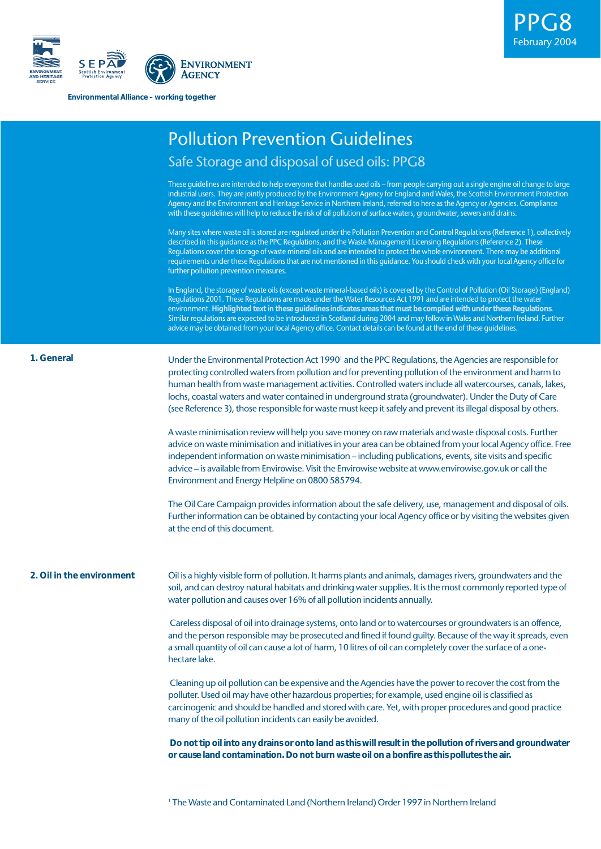

**Environmental Alliance – working together**

|                           | <b>Pollution Prevention Guidelines</b>                                                                                                                                                                                                                                                                                                                                                                                                                                                                                                                                                                                                            |
|---------------------------|---------------------------------------------------------------------------------------------------------------------------------------------------------------------------------------------------------------------------------------------------------------------------------------------------------------------------------------------------------------------------------------------------------------------------------------------------------------------------------------------------------------------------------------------------------------------------------------------------------------------------------------------------|
|                           | Safe Storage and disposal of used oils: PPG8                                                                                                                                                                                                                                                                                                                                                                                                                                                                                                                                                                                                      |
|                           | These guidelines are intended to help everyone that handles used oils - from people carrying out a single engine oil change to large<br>industrial users. They are jointly produced by the Environment Agency for England and Wales, the Scottish Environment Protection<br>Agency and the Environment and Heritage Service in Northern Ireland, referred to here as the Agency or Agencies. Compliance<br>with these guidelines will help to reduce the risk of oil pollution of surface waters, groundwater, sewers and drains.                                                                                                                 |
|                           | Many sites where waste oil is stored are regulated under the Pollution Prevention and Control Regulations (Reference 1), collectively<br>described in this guidance as the PPC Regulations, and the Waste Management Licensing Regulations (Reference 2). These<br>Regulations cover the storage of waste mineral oils and are intended to protect the whole environment. There may be additional<br>requirements under these Regulations that are not mentioned in this guidance. You should check with your local Agency office for<br>further pollution prevention measures.                                                                   |
|                           | In England, the storage of waste oils (except waste mineral-based oils) is covered by the Control of Pollution (Oil Storage) (England)<br>Regulations 2001. These Regulations are made under the Water Resources Act 1991 and are intended to protect the water<br>environment. Highlighted text in these guidelines indicates areas that must be complied with under these Regulations.<br>Similar regulations are expected to be introduced in Scotland during 2004 and may follow in Wales and Northern Ireland. Further<br>advice may be obtained from your local Agency office. Contact details can be found at the end of these quidelines. |
| 1. General                | Under the Environmental Protection Act 1990' and the PPC Regulations, the Agencies are responsible for<br>protecting controlled waters from pollution and for preventing pollution of the environment and harm to<br>human health from waste management activities. Controlled waters include all watercourses, canals, lakes,<br>lochs, coastal waters and water contained in underground strata (groundwater). Under the Duty of Care<br>(see Reference 3), those responsible for waste must keep it safely and prevent its illegal disposal by others.                                                                                         |
|                           | A waste minimisation review will help you save money on raw materials and waste disposal costs. Further<br>advice on waste minimisation and initiatives in your area can be obtained from your local Agency office. Free<br>independent information on waste minimisation - including publications, events, site visits and specific<br>advice - is available from Envirowise. Visit the Envirowise website at www.envirowise.gov.uk or call the<br>Environment and Energy Helpline on 0800 585794.                                                                                                                                               |
|                           | The Oil Care Campaign provides information about the safe delivery, use, management and disposal of oils.<br>Further information can be obtained by contacting your local Agency office or by visiting the websites given<br>at the end of this document.                                                                                                                                                                                                                                                                                                                                                                                         |
| 2. Oil in the environment | Oil is a highly visible form of pollution. It harms plants and animals, damages rivers, groundwaters and the<br>soil, and can destroy natural habitats and drinking water supplies. It is the most commonly reported type of<br>water pollution and causes over 16% of all pollution incidents annually.                                                                                                                                                                                                                                                                                                                                          |
|                           | Careless disposal of oil into drainage systems, onto land or to watercourses or groundwaters is an offence,<br>and the person responsible may be prosecuted and fined if found guilty. Because of the way it spreads, even<br>a small quantity of oil can cause a lot of harm, 10 litres of oil can completely cover the surface of a one-<br>hectare lake.                                                                                                                                                                                                                                                                                       |
|                           | Cleaning up oil pollution can be expensive and the Agencies have the power to recover the cost from the<br>polluter. Used oil may have other hazardous properties; for example, used engine oil is classified as<br>carcinogenic and should be handled and stored with care. Yet, with proper procedures and good practice<br>many of the oil pollution incidents can easily be avoided.                                                                                                                                                                                                                                                          |
|                           | Do not tip oil into any drains or onto land as this will result in the pollution of rivers and groundwater<br>or cause land contamination. Do not burn waste oil on a bonfire as this pollutes the air.                                                                                                                                                                                                                                                                                                                                                                                                                                           |
|                           |                                                                                                                                                                                                                                                                                                                                                                                                                                                                                                                                                                                                                                                   |

PPG8

February 2004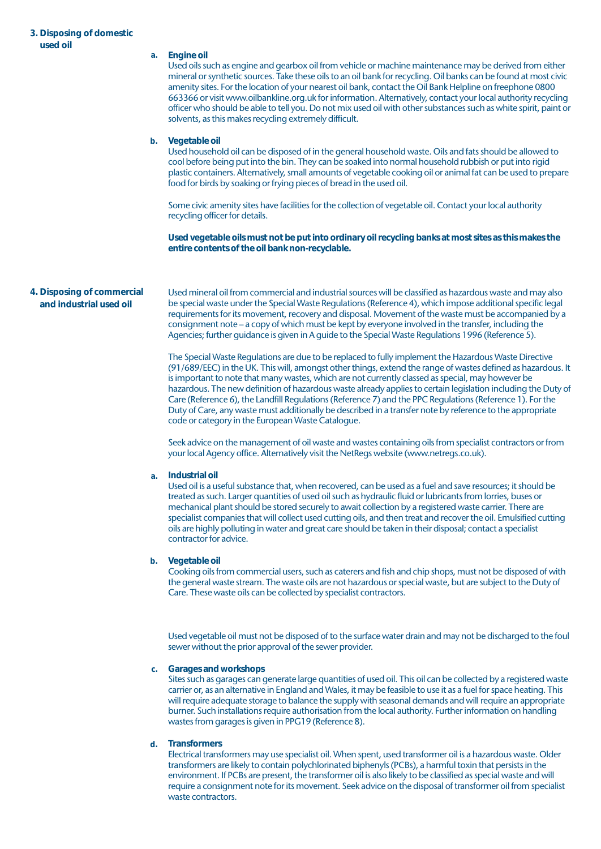# **3. Disposing of domestic used oil**

| uscu vii                                              | a. | Engine oil<br>Used oils such as engine and gearbox oil from vehicle or machine maintenance may be derived from either<br>mineral or synthetic sources. Take these oils to an oil bank for recycling. Oil banks can be found at most civic<br>amenity sites. For the location of your nearest oil bank, contact the Oil Bank Helpline on freephone 0800<br>663366 or visit www.oilbankline.org.uk for information. Alternatively, contact your local authority recycling<br>officer who should be able to tell you. Do not mix used oil with other substances such as white spirit, paint or                                                                                                                                |
|-------------------------------------------------------|----|----------------------------------------------------------------------------------------------------------------------------------------------------------------------------------------------------------------------------------------------------------------------------------------------------------------------------------------------------------------------------------------------------------------------------------------------------------------------------------------------------------------------------------------------------------------------------------------------------------------------------------------------------------------------------------------------------------------------------|
|                                                       | b. | solvents, as this makes recycling extremely difficult.<br>Vegetable oil<br>Used household oil can be disposed of in the general household waste. Oils and fats should be allowed to<br>cool before being put into the bin. They can be soaked into normal household rubbish or put into rigid<br>plastic containers. Alternatively, small amounts of vegetable cooking oil or animal fat can be used to prepare<br>food for birds by soaking or frying pieces of bread in the used oil.                                                                                                                                                                                                                                    |
|                                                       |    | Some civic amenity sites have facilities for the collection of vegetable oil. Contact your local authority<br>recycling officer for details.                                                                                                                                                                                                                                                                                                                                                                                                                                                                                                                                                                               |
|                                                       |    | Used vegetable oils must not be put into ordinary oil recycling banks at most sites as this makes the<br>entire contents of the oil bank non-recyclable.                                                                                                                                                                                                                                                                                                                                                                                                                                                                                                                                                                   |
| 4. Disposing of commercial<br>and industrial used oil |    | Used mineral oil from commercial and industrial sources will be classified as hazardous waste and may also<br>be special waste under the Special Waste Regulations (Reference 4), which impose additional specific legal<br>requirements for its movement, recovery and disposal. Movement of the waste must be accompanied by a<br>consignment note - a copy of which must be kept by everyone involved in the transfer, including the<br>Agencies; further guidance is given in A guide to the Special Waste Regulations 1996 (Reference 5).                                                                                                                                                                             |
|                                                       |    | The Special Waste Regulations are due to be replaced to fully implement the Hazardous Waste Directive<br>(91/689/EEC) in the UK. This will, amongst other things, extend the range of wastes defined as hazardous. It<br>is important to note that many wastes, which are not currently classed as special, may however be<br>hazardous. The new definition of hazardous waste already applies to certain legislation including the Duty of<br>Care (Reference 6), the Landfill Regulations (Reference 7) and the PPC Regulations (Reference 1). For the<br>Duty of Care, any waste must additionally be described in a transfer note by reference to the appropriate<br>code or category in the European Waste Catalogue. |
|                                                       |    | Seek advice on the management of oil waste and wastes containing oils from specialist contractors or from<br>your local Agency office. Alternatively visit the NetRegs website (www.netregs.co.uk).                                                                                                                                                                                                                                                                                                                                                                                                                                                                                                                        |
|                                                       | a. | Industrial oil<br>Used oil is a useful substance that, when recovered, can be used as a fuel and save resources; it should be<br>treated as such. Larger quantities of used oil such as hydraulic fluid or lubricants from lorries, buses or<br>mechanical plant should be stored securely to await collection by a registered waste carrier. There are<br>specialist companies that will collect used cutting oils, and then treat and recover the oil. Emulsified cutting<br>oils are highly polluting in water and great care should be taken in their disposal; contact a specialist<br>contractor for advice.                                                                                                         |
|                                                       | b. | Vegetable oil<br>Cooking oils from commercial users, such as caterers and fish and chip shops, must not be disposed of with<br>the general waste stream. The waste oils are not hazardous or special waste, but are subject to the Duty of<br>Care. These waste oils can be collected by specialist contractors.                                                                                                                                                                                                                                                                                                                                                                                                           |

Used vegetable oil must not be disposed of to the surface water drain and may not be discharged to the foul sewer without the prior approval of the sewer provider.

### **Garages and workshops c.**

Sites such as garages can generate large quantities of used oil. This oil can be collected by a registered waste carrier or, as an alternative in England and Wales, it may be feasible to use it as a fuel for space heating. This will require adequate storage to balance the supply with seasonal demands and will require an appropriate burner. Such installations require authorisation from the local authority. Further information on handling wastes from garages is given in PPG19 (Reference 8).

# **Transformers d.**

Electrical transformers may use specialist oil. When spent, used transformer oil is a hazardous waste. Older transformers are likely to contain polychlorinated biphenyls (PCBs), a harmful toxin that persists in the environment. If PCBs are present, the transformer oil is also likely to be classified as special waste and will require a consignment note for its movement. Seek advice on the disposal of transformer oil from specialist waste contractors.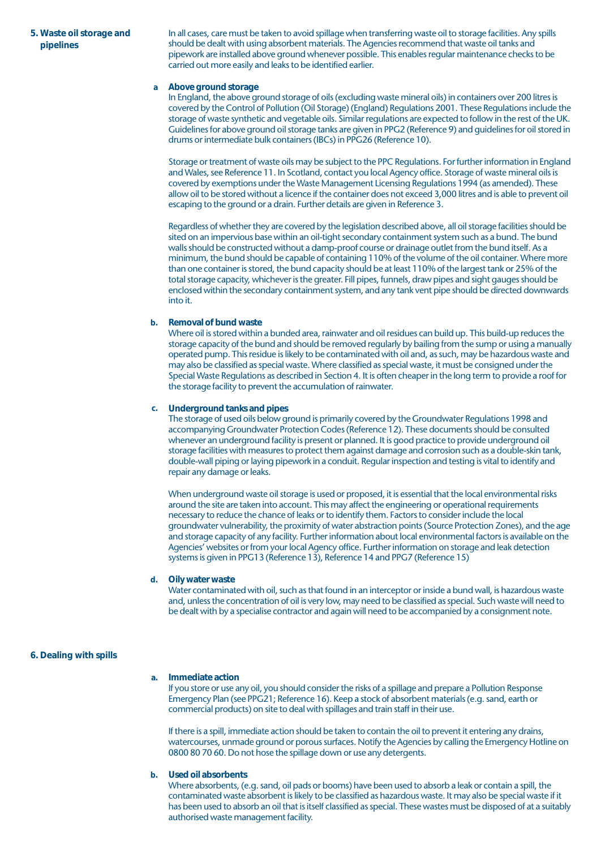# **5. Waste oil storage and pipelines**

In all cases, care must be taken to avoid spillage when transferring waste oil to storage facilities. Any spills should be dealt with using absorbent materials. The Agencies recommend that waste oil tanks and pipework are installed above ground whenever possible. This enables regular maintenance checks to be carried out more easily and leaks to be identified earlier.

#### **Above ground storage a**

In England, the above ground storage of oils (excluding waste mineral oils) in containers over 200 litres is covered by the Control of Pollution (Oil Storage) (England) Regulations 2001. These Regulations include the storage of waste synthetic and vegetable oils. Similar regulations are expected to follow in the rest of the UK. Guidelines for above ground oil storage tanks are given in PPG2 (Reference 9) and guidelines for oil stored in drums or intermediate bulk containers (IBCs) in PPG26 (Reference 10).

Storage or treatment of waste oils may be subject to the PPC Regulations. For further information in England and Wales, see Reference 11. In Scotland, contact you local Agency office. Storage of waste mineral oils is covered by exemptions under the Waste Management Licensing Regulations 1994 (as amended). These allow oil to be stored without a licence if the container does not exceed 3,000 litres and is able to prevent oil escaping to the ground or a drain. Further details are given in Reference 3.

Regardless of whether they are covered by the legislation described above, all oil storage facilities should be sited on an impervious base within an oil-tight secondary containment system such as a bund. The bund walls should be constructed without a damp-proof course or drainage outlet from the bund itself. As a minimum, the bund should be capable of containing 110% of the volume of the oil container. Where more than one container is stored, the bund capacity should be at least 110% of the largest tank or 25% of the total storage capacity, whichever is the greater. Fill pipes, funnels, draw pipes and sight gauges should be enclosed within the secondary containment system, and any tank vent pipe should be directed downwards into it.

## **Removal of bund waste b.**

Where oil is stored within a bunded area, rainwater and oil residues can build up. This build-up reduces the storage capacity of the bund and should be removed regularly by bailing from the sump or using a manually operated pump. This residue is likely to be contaminated with oil and, as such, may be hazardous waste and may also be classified as special waste. Where classified as special waste, it must be consigned under the Special Waste Regulations as described in Section 4. It is often cheaper in the long term to provide a roof for the storage facility to prevent the accumulation of rainwater.

### **Underground tanks and pipes c.**

The storage of used oils below ground is primarily covered by the Groundwater Regulations 1998 and accompanying Groundwater Protection Codes (Reference 12). These documents should be consulted whenever an underground facility is present or planned. It is good practice to provide underground oil storage facilities with measures to protect them against damage and corrosion such as a double-skin tank, double-wall piping or laying pipework in a conduit. Regular inspection and testing is vital to identify and repair any damage or leaks.

When underground waste oil storage is used or proposed, it is essential that the local environmental risks around the site are taken into account. This may affect the engineering or operational requirements necessary to reduce the chance of leaks or to identify them. Factors to consider include the local groundwater vulnerability, the proximity of water abstraction points (Source Protection Zones), and the age and storage capacity of any facility. Further information about local environmental factors is available on the Agencies' websites or from your local Agency office. Further information on storage and leak detection systems is given in PPG13 (Reference 13), Reference 14 and PPG7 (Reference 15)

## **Oily water waste d.**

Water contaminated with oil, such as that found in an interceptor or inside a bund wall, is hazardous waste and, unless the concentration of oil is very low, may need to be classified as special. Such waste will need to be dealt with by a specialise contractor and again will need to be accompanied by a consignment note.

## **6. Dealing with spills**

#### **Immediate action a.**

If you store or use any oil, you should consider the risks of a spillage and prepare a Pollution Response Emergency Plan (see PPG21; Reference 16). Keep a stock of absorbent materials (e.g. sand, earth or commercial products) on site to deal with spillages and train staff in their use.

If there is a spill, immediate action should be taken to contain the oil to prevent it entering any drains, watercourses, unmade ground or porous surfaces. Notify the Agencies by calling the Emergency Hotline on 0800 80 70 60. Do not hose the spillage down or use any detergents.

# **Used oil absorbents b.**

Where absorbents, (e.g. sand, oil pads or booms) have been used to absorb a leak or contain a spill, the contaminated waste absorbent is likely to be classified as hazardous waste. It may also be special waste if it has been used to absorb an oil that is itself classified as special. These wastes must be disposed of at a suitably authorised waste management facility.